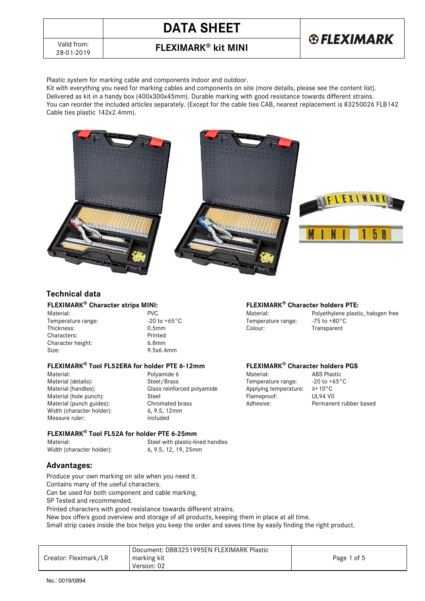

# **DATA SHEET**



28-01-2019 **FLEXIMARK® kit MINI**

Plastic system for marking cable and components indoor and outdoor.

Kit with everything you need for marking cables and components on site (more details, please see the content list). Delivered as kit in a handy box (400x300x45mm). Durable marking with good resistance towards different strains. You can reorder the included articles separately. (Except for the cable ties CAB, nearest replacement is 83250026 FLB142 Cable ties plastic 142x2.4mm).



### **Technical data**

Characters: Printed<br>Character height: 6.8mm Character height: Size: 9.5x6.4mm

#### **FLEXIMARK® Tool FL52ERA for holder PTE 6-12mm FLEXIMARK® Character holders PGS**

Material (punch guides): Width (character holder): 6, 9.5, 12mm<br>Measure ruler: included Measure ruler:

Material: Polyamide 6 Material: ABS Plastic Material (details): Steel/Brass Steel/Brass Temperature range: -20 to +65°C<br>Material (handles): Glass reinforced polyamide Applying temperature: 2+10°C Material (handles): Glass reinforced polyamide Applying temperature: ≥+10°C<br>Material (hole nunch): Steel Steel Flamenroof: UII 94 VO Material (hole punch): Steel Steel Steel Steel Steel Steel Flameproof: UL94 V0<br>Material (punch guides): Chromated brass Steel Adhesive: Permanent rubber based

#### **FLEXIMARK® Character strips MINI: FLEXIMARK® Character holders PTE:**

-20 to +65°C Temperature range: -75 to +80°C Thickness: 0.5mm Colour: Transparent

Material: PVC PVC POLA Material: Polyethylene plastic, halogen free<br>
Temperature range: Alternative range: Alternative range: Alternative range: Alternative range: Alternative range: Alternative range: Alternative range: A

**FLEXIMARK® Tool FL52A for holder PTE 6-25mm**

Material: Steel with plastic-lined handles<br>Width (character holder): 6, 9.5, 12, 19, 25mm Width (character holder):

### **Advantages:**

Produce your own marking on site when you need it.

Contains many of the useful characters.

Can be used for both component and cable marking.

SP Tested and recommended.

Printed characters with good resistance towards different strains.

New box offers good overview and storage of all products, keeping them in place at all time.

Small strip cases inside the box helps you keep the order and saves time by easily finding the right product.

| Creator: Fleximark/LR | Document: DB83251995EN FLEXIMARK Plastic<br>marking kit<br>Version: 02 | Page 1 of 5 |
|-----------------------|------------------------------------------------------------------------|-------------|
|-----------------------|------------------------------------------------------------------------|-------------|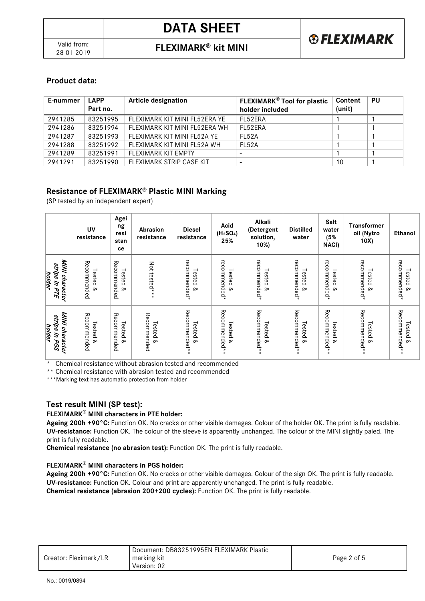28-01-2019 **FLEXIMARK® kit MINI**

# **Product data:**

| E-nummer | <b>LAPP</b><br>Part no. | <b>Article designation</b>      | <b>FLEXIMARK<sup>®</sup> Tool for plastic</b><br>holder included | Content<br>(unit) | <b>PU</b> |
|----------|-------------------------|---------------------------------|------------------------------------------------------------------|-------------------|-----------|
| 2941285  | 83251995                | FI FXIMARK KIT MINI FI 52FRA YF | FI 52FRA                                                         |                   |           |
| 2941286  | 83251994                | FI FXIMARK KIT MINI FI 52FRA WH | FI 52FRA                                                         |                   |           |
| 2941287  | 83251993                | FLEXIMARK KIT MINI FL52A YE     | <b>FI 52A</b>                                                    |                   |           |
| 2941288  | 83251992                | FI FXIMARK KIT MINI FI 52A WH   | <b>FI 52A</b>                                                    |                   |           |
| 2941289  | 83251991                | FI FXIMARK KIT FMPTY            | -                                                                |                   |           |
| 2941291  | 83251990                | FLEXIMARK STRIP CASE KIT        | -                                                                | 10                |           |

### **Resistance of FLEXIMARK® Plastic MINI Marking**

(SP tested by an independent expert)

|                                              | UV<br>resistance                  | Agei<br>ng<br>resi<br>stan<br>ce   | Abrasion<br>resistance  | <b>Diesel</b><br>resistance | Acid<br>(H <sub>2</sub> SO <sub>4</sub> )<br>25% | Alkali<br>(Detergent<br>solution,<br>10%)        | <b>Distilled</b><br>water           | Salt<br>water<br>(5%<br><b>NACI)</b> | <b>Transformer</b><br>oil (Nytro<br>10X) | Ethanol                                    |
|----------------------------------------------|-----------------------------------|------------------------------------|-------------------------|-----------------------------|--------------------------------------------------|--------------------------------------------------|-------------------------------------|--------------------------------------|------------------------------------------|--------------------------------------------|
| MINI character<br>strips in PTE<br>holder    | Recommended<br>Tested &           | Recommended<br>Tested<br>۵         | Not tested*             | recommended*<br>Tested &    | recommended*<br>Tested<br><sub>o</sub>           | recommended*<br>Tested<br><sub>o</sub>           | recommended*<br>Tested<br>$\infty$  | recommended*<br>Tested<br>œ          | recommended*<br>Tested<br>$\infty$       | recommended*<br>Tested<br>$\infty$         |
| MINI character<br>strips<br>holder<br>in PGS | Recommended<br>Tested<br>$\infty$ | Recommended<br>Tested<br><b>Qo</b> | Recommended<br>Tested & | Recommended<br>Tested &     | Recommended<br>Tested<br>$\infty$                | Recommended<br>Tested<br><sub>o</sub><br>$\star$ | Recommended**<br>Tested<br>$\infty$ | Recommended<br>Tested<br>۵           | Recommended<br>Tested<br>$\infty$        | Recommended<br>Tested<br>$\infty$<br>$* *$ |

\* Chemical resistance without abrasion tested and recommended

\*\* Chemical resistance with abrasion tested and recommended

\*\*\*Marking text has automatic protection from holder

### **Test result MINI (SP test):**

#### **FLEXIMARK® MINI characters in PTE holder:**

**Ageing 200h +90°C:** Function OK. No cracks or other visible damages. Colour of the holder OK. The print is fully readable. **UV-resistance:** Function OK. The colour of the sleeve is apparently unchanged. The colour of the MINI slightly paled. The print is fully readable.

**Chemical resistance (no abrasion test):** Function OK. The print is fully readable.

### **FLEXIMARK® MINI characters in PGS holder:**

Ageing 200h +90°C: Function OK. No cracks or other visible damages. Colour of the sign OK. The print is fully readable. **UV-resistance:** Function OK. Colour and print are apparently unchanged. The print is fully readable. **Chemical resistance (abrasion 200+200 cycles):** Function OK. The print is fully readable.

| Creator: Fleximark/LR | Document: DB83251995EN FLEXIMARK Plastic<br>marking kit<br>Version: 02 | Page 2 of 5 |
|-----------------------|------------------------------------------------------------------------|-------------|
|-----------------------|------------------------------------------------------------------------|-------------|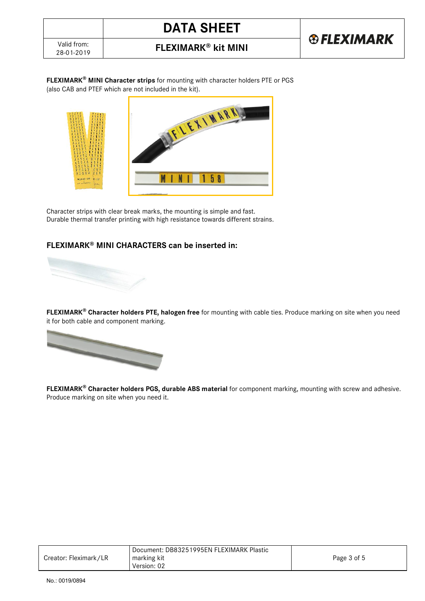# **DATA SHEET**



28-01-2019 **FLEXIMARK® kit MINI**

**FLEXIMARK® MINI Character strips** for mounting with character holders PTE or PGS (also CAB and PTEF which are not included in the kit).



Character strips with clear break marks, the mounting is simple and fast. Durable thermal transfer printing with high resistance towards different strains.

## **FLEXIMARK® MINI CHARACTERS can be inserted in:**



**FLEXIMARK® Character holders PTE, halogen free** for mounting with cable ties. Produce marking on site when you need it for both cable and component marking.



**FLEXIMARK® Character holders PGS, durable ABS material** for component marking, mounting with screw and adhesive. Produce marking on site when you need it.

|                       | <sup>1</sup> Document: DB83251995EN FLEXIMARK Plastic |             |
|-----------------------|-------------------------------------------------------|-------------|
| Creator: Fleximark/LR | marking kit                                           | Page 3 of 5 |
|                       | Version: 02                                           |             |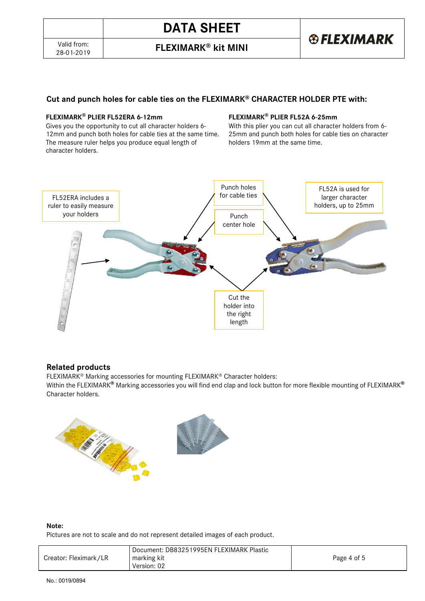28-01-2019 **FLEXIMARK® kit MINI**

# **®FLEXIMARK**

## **Cut and punch holes for cable ties on the FLEXIMARK® CHARACTER HOLDER PTE with:**

### **FLEXIMARK® PLIER FL52ERA 6-12mm**

Gives you the opportunity to cut all character holders 6- 12mm and punch both holes for cable ties at the same time. The measure ruler helps you produce equal length of character holders.

### **FLEXIMARK® PLIER FL52A 6-25mm**

With this plier you can cut all character holders from 6- 25mm and punch both holes for cable ties on character holders 19mm at the same time.



### **Related products**

FLEXIMARK® Marking accessories for mounting FLEXIMARK® Character holders:

Within the FLEXIMARK**®** Marking accessories you will find end clap and lock button for more flexible mounting of FLEXIMARK**®** Character holders.



#### **Note:**

Pictures are not to scale and do not represent detailed images of each product.

| Document: DB83251995EN FLEXIMARK Plastic<br>marking kit<br>Creator: Fleximark/LR<br>Page 4 of 5<br>Version: 02 |  |
|----------------------------------------------------------------------------------------------------------------|--|
|----------------------------------------------------------------------------------------------------------------|--|